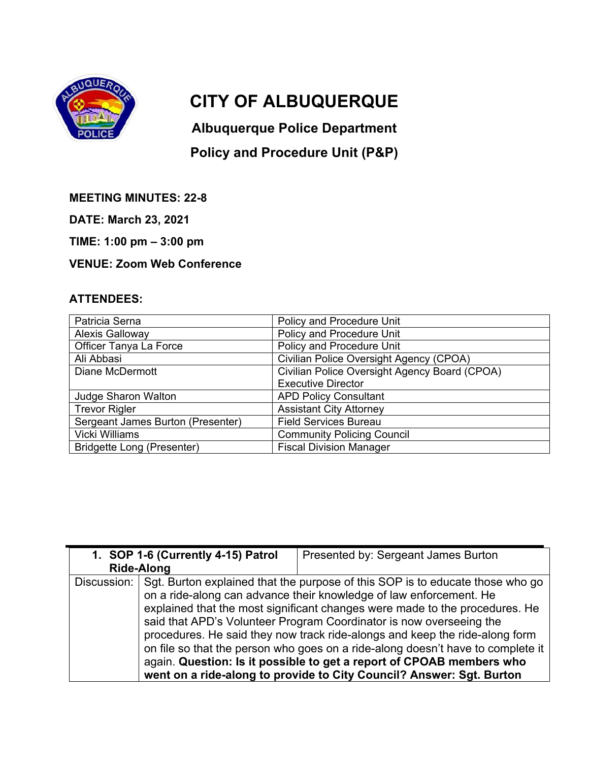

## **CITY OF ALBUQUERQUE**

**Albuquerque Police Department** 

## **Policy and Procedure Unit (P&P)**

**MEETING MINUTES: 22-8** 

**DATE: March 23, 2021** 

**TIME: 1:00 pm – 3:00 pm** 

## **VENUE: Zoom Web Conference**

## **ATTENDEES:**

| Patricia Serna                    | Policy and Procedure Unit                     |
|-----------------------------------|-----------------------------------------------|
| <b>Alexis Galloway</b>            | Policy and Procedure Unit                     |
| Officer Tanya La Force            | Policy and Procedure Unit                     |
| Ali Abbasi                        | Civilian Police Oversight Agency (CPOA)       |
| Diane McDermott                   | Civilian Police Oversight Agency Board (CPOA) |
|                                   | <b>Executive Director</b>                     |
| <b>Judge Sharon Walton</b>        | <b>APD Policy Consultant</b>                  |
| <b>Trevor Rigler</b>              | <b>Assistant City Attorney</b>                |
| Sergeant James Burton (Presenter) | <b>Field Services Bureau</b>                  |
| <b>Vicki Williams</b>             | <b>Community Policing Council</b>             |
| <b>Bridgette Long (Presenter)</b> | <b>Fiscal Division Manager</b>                |

|             | 1. SOP 1-6 (Currently 4-15) Patrol                                          | Presented by: Sergeant James Burton                                             |  |
|-------------|-----------------------------------------------------------------------------|---------------------------------------------------------------------------------|--|
|             | <b>Ride-Along</b>                                                           |                                                                                 |  |
| Discussion: |                                                                             | Sgt. Burton explained that the purpose of this SOP is to educate those who go   |  |
|             |                                                                             | on a ride-along can advance their knowledge of law enforcement. He              |  |
|             | explained that the most significant changes were made to the procedures. He |                                                                                 |  |
|             | said that APD's Volunteer Program Coordinator is now overseeing the         |                                                                                 |  |
|             |                                                                             | procedures. He said they now track ride-alongs and keep the ride-along form     |  |
|             |                                                                             | on file so that the person who goes on a ride-along doesn't have to complete it |  |
|             |                                                                             | again. Question: Is it possible to get a report of CPOAB members who            |  |
|             |                                                                             | went on a ride-along to provide to City Council? Answer: Sgt. Burton            |  |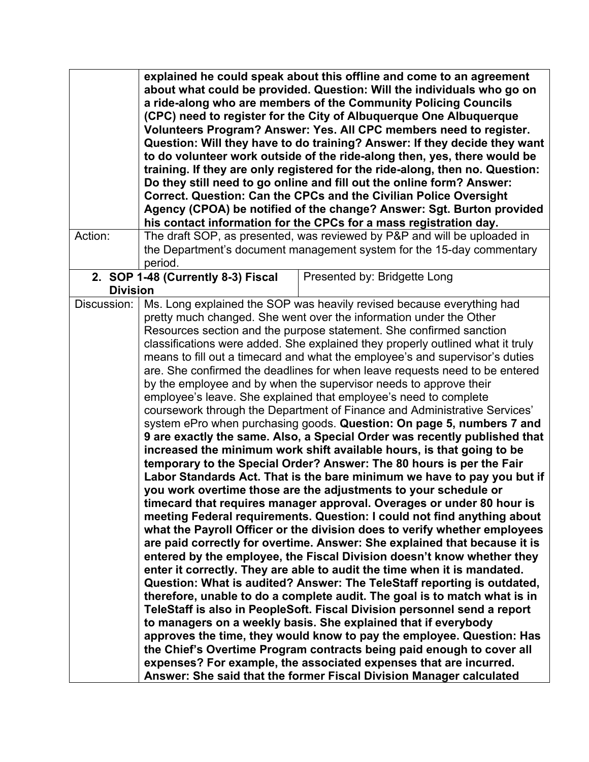|                 |                                                                                                                                                                                                                                                                                                                                                                                                                                                                                                                                                                                                                                                                                                                                                                                                                                                                                                                                                                                                                                                                                                                                                                                                                                                                                                                                                                                                                                                                                                                                                                                                                                                                                                                                                                                                                                                                                                                                                                                                                                                                                                                                                                                                                        | explained he could speak about this offline and come to an agreement<br>about what could be provided. Question: Will the individuals who go on<br>a ride-along who are members of the Community Policing Councils<br>(CPC) need to register for the City of Albuquerque One Albuquerque<br>Volunteers Program? Answer: Yes. All CPC members need to register.<br>Question: Will they have to do training? Answer: If they decide they want<br>to do volunteer work outside of the ride-along then, yes, there would be |  |
|-----------------|------------------------------------------------------------------------------------------------------------------------------------------------------------------------------------------------------------------------------------------------------------------------------------------------------------------------------------------------------------------------------------------------------------------------------------------------------------------------------------------------------------------------------------------------------------------------------------------------------------------------------------------------------------------------------------------------------------------------------------------------------------------------------------------------------------------------------------------------------------------------------------------------------------------------------------------------------------------------------------------------------------------------------------------------------------------------------------------------------------------------------------------------------------------------------------------------------------------------------------------------------------------------------------------------------------------------------------------------------------------------------------------------------------------------------------------------------------------------------------------------------------------------------------------------------------------------------------------------------------------------------------------------------------------------------------------------------------------------------------------------------------------------------------------------------------------------------------------------------------------------------------------------------------------------------------------------------------------------------------------------------------------------------------------------------------------------------------------------------------------------------------------------------------------------------------------------------------------------|------------------------------------------------------------------------------------------------------------------------------------------------------------------------------------------------------------------------------------------------------------------------------------------------------------------------------------------------------------------------------------------------------------------------------------------------------------------------------------------------------------------------|--|
|                 |                                                                                                                                                                                                                                                                                                                                                                                                                                                                                                                                                                                                                                                                                                                                                                                                                                                                                                                                                                                                                                                                                                                                                                                                                                                                                                                                                                                                                                                                                                                                                                                                                                                                                                                                                                                                                                                                                                                                                                                                                                                                                                                                                                                                                        | training. If they are only registered for the ride-along, then no. Question:<br>Do they still need to go online and fill out the online form? Answer:<br>Correct. Question: Can the CPCs and the Civilian Police Oversight<br>Agency (CPOA) be notified of the change? Answer: Sgt. Burton provided<br>his contact information for the CPCs for a mass registration day.                                                                                                                                               |  |
| Action:         | The draft SOP, as presented, was reviewed by P&P and will be uploaded in<br>the Department's document management system for the 15-day commentary<br>period.                                                                                                                                                                                                                                                                                                                                                                                                                                                                                                                                                                                                                                                                                                                                                                                                                                                                                                                                                                                                                                                                                                                                                                                                                                                                                                                                                                                                                                                                                                                                                                                                                                                                                                                                                                                                                                                                                                                                                                                                                                                           |                                                                                                                                                                                                                                                                                                                                                                                                                                                                                                                        |  |
| <b>Division</b> | 2. SOP 1-48 (Currently 8-3) Fiscal                                                                                                                                                                                                                                                                                                                                                                                                                                                                                                                                                                                                                                                                                                                                                                                                                                                                                                                                                                                                                                                                                                                                                                                                                                                                                                                                                                                                                                                                                                                                                                                                                                                                                                                                                                                                                                                                                                                                                                                                                                                                                                                                                                                     | Presented by: Bridgette Long                                                                                                                                                                                                                                                                                                                                                                                                                                                                                           |  |
| Discussion:     | Ms. Long explained the SOP was heavily revised because everything had<br>pretty much changed. She went over the information under the Other<br>Resources section and the purpose statement. She confirmed sanction<br>classifications were added. She explained they properly outlined what it truly<br>means to fill out a timecard and what the employee's and supervisor's duties<br>are. She confirmed the deadlines for when leave requests need to be entered<br>by the employee and by when the supervisor needs to approve their<br>employee's leave. She explained that employee's need to complete<br>coursework through the Department of Finance and Administrative Services'<br>system ePro when purchasing goods. Question: On page 5, numbers 7 and<br>9 are exactly the same. Also, a Special Order was recently published that<br>increased the minimum work shift available hours, is that going to be<br>temporary to the Special Order? Answer: The 80 hours is per the Fair<br>Labor Standards Act. That is the bare minimum we have to pay you but if<br>you work overtime those are the adjustments to your schedule or<br>timecard that requires manager approval. Overages or under 80 hour is<br>meeting Federal requirements. Question: I could not find anything about<br>what the Payroll Officer or the division does to verify whether employees<br>are paid correctly for overtime. Answer: She explained that because it is<br>entered by the employee, the Fiscal Division doesn't know whether they<br>enter it correctly. They are able to audit the time when it is mandated.<br>Question: What is audited? Answer: The TeleStaff reporting is outdated,<br>therefore, unable to do a complete audit. The goal is to match what is in<br>TeleStaff is also in PeopleSoft. Fiscal Division personnel send a report<br>to managers on a weekly basis. She explained that if everybody<br>approves the time, they would know to pay the employee. Question: Has<br>the Chief's Overtime Program contracts being paid enough to cover all<br>expenses? For example, the associated expenses that are incurred.<br>Answer: She said that the former Fiscal Division Manager calculated |                                                                                                                                                                                                                                                                                                                                                                                                                                                                                                                        |  |